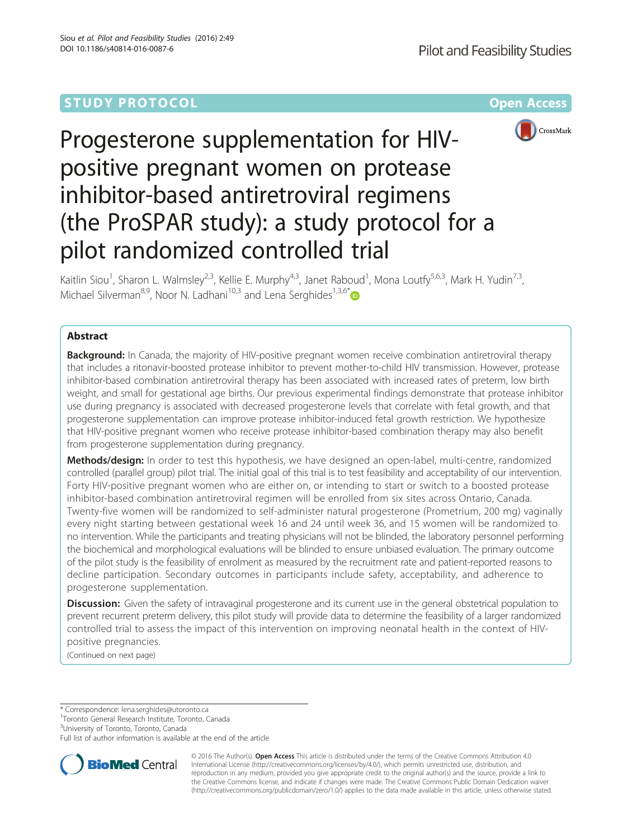## **STUDY PROTOCOL CONSUMING THE RESERVE ACCESS**



# Progesterone supplementation for HIVpositive pregnant women on protease inhibitor-based antiretroviral regimens (the ProSPAR study): a study protocol for a pilot randomized controlled trial

Kaitlin Siou<sup>1</sup>, Sharon L. Walmsley<sup>2,3</sup>, Kellie E. Murphy<sup>4,3</sup>, Janet Raboud<sup>1</sup>, Mona Loutfy<sup>5,6,3</sup>, Mark H. Yudin<sup>7,3</sup>, Michael Silverman<sup>8,9</sup>, Noor N. Ladhani<sup>10,3</sup> and Lena Serghides<sup>1,3,6[\\*](http://orcid.org/0000-0002-2817-6134)</sup>

## Abstract

**Background:** In Canada, the majority of HIV-positive pregnant women receive combination antiretroviral therapy that includes a ritonavir-boosted protease inhibitor to prevent mother-to-child HIV transmission. However, protease inhibitor-based combination antiretroviral therapy has been associated with increased rates of preterm, low birth weight, and small for gestational age births. Our previous experimental findings demonstrate that protease inhibitor use during pregnancy is associated with decreased progesterone levels that correlate with fetal growth, and that progesterone supplementation can improve protease inhibitor-induced fetal growth restriction. We hypothesize that HIV-positive pregnant women who receive protease inhibitor-based combination therapy may also benefit from progesterone supplementation during pregnancy.

Methods/design: In order to test this hypothesis, we have designed an open-label, multi-centre, randomized controlled (parallel group) pilot trial. The initial goal of this trial is to test feasibility and acceptability of our intervention. Forty HIV-positive pregnant women who are either on, or intending to start or switch to a boosted protease inhibitor-based combination antiretroviral regimen will be enrolled from six sites across Ontario, Canada. Twenty-five women will be randomized to self-administer natural progesterone (Prometrium, 200 mg) vaginally every night starting between gestational week 16 and 24 until week 36, and 15 women will be randomized to no intervention. While the participants and treating physicians will not be blinded, the laboratory personnel performing the biochemical and morphological evaluations will be blinded to ensure unbiased evaluation. The primary outcome of the pilot study is the feasibility of enrolment as measured by the recruitment rate and patient-reported reasons to decline participation. Secondary outcomes in participants include safety, acceptability, and adherence to progesterone supplementation.

**Discussion:** Given the safety of intravaginal progesterone and its current use in the general obstetrical population to prevent recurrent preterm delivery, this pilot study will provide data to determine the feasibility of a larger randomized controlled trial to assess the impact of this intervention on improving neonatal health in the context of HIVpositive pregnancies.

(Continued on next page)

\* Correspondence: [lena.serghides@utoronto.ca](mailto:lena.serghides@utoronto.ca) <sup>1</sup>

Toronto General Research Institute, Toronto, Canada

<sup>3</sup>University of Toronto, Toronto, Canada

Full list of author information is available at the end of the article



© 2016 The Author(s). Open Access This article is distributed under the terms of the Creative Commons Attribution 4.0 International License [\(http://creativecommons.org/licenses/by/4.0/](http://creativecommons.org/licenses/by/4.0/)), which permits unrestricted use, distribution, and reproduction in any medium, provided you give appropriate credit to the original author(s) and the source, provide a link to the Creative Commons license, and indicate if changes were made. The Creative Commons Public Domain Dedication waiver [\(http://creativecommons.org/publicdomain/zero/1.0/](http://creativecommons.org/publicdomain/zero/1.0/)) applies to the data made available in this article, unless otherwise stated.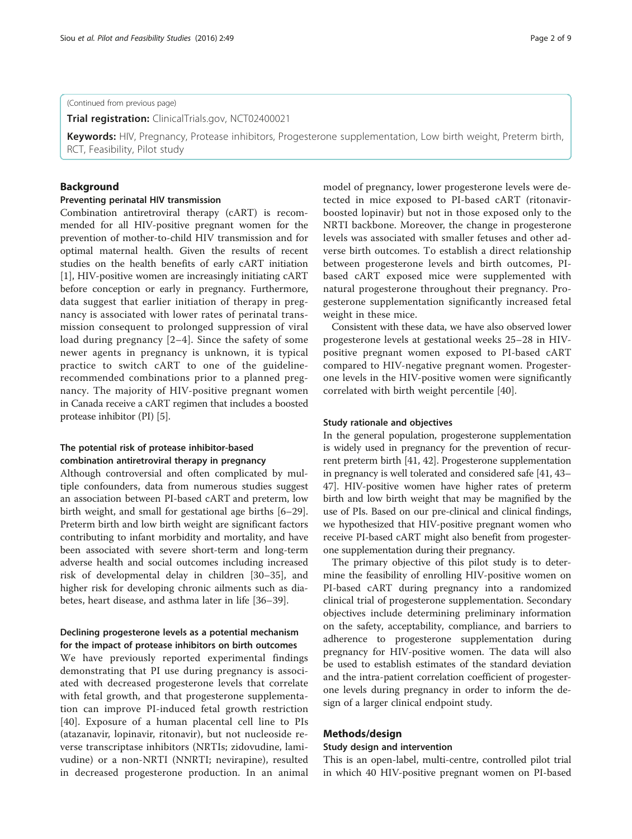(Continued from previous page)

**Trial registration:** ClinicalTrials.gov, [NCT02400021](https://clinicaltrials.gov/ct2/show/NCT02400021?term=prospar&rank=1)

Keywords: HIV, Pregnancy, Protease inhibitors, Progesterone supplementation, Low birth weight, Preterm birth, RCT, Feasibility, Pilot study

## Background

#### Preventing perinatal HIV transmission

Combination antiretroviral therapy (cART) is recommended for all HIV-positive pregnant women for the prevention of mother-to-child HIV transmission and for optimal maternal health. Given the results of recent studies on the health benefits of early cART initiation [[1\]](#page-6-0), HIV-positive women are increasingly initiating cART before conception or early in pregnancy. Furthermore, data suggest that earlier initiation of therapy in pregnancy is associated with lower rates of perinatal transmission consequent to prolonged suppression of viral load during pregnancy [\[2](#page-6-0)–[4\]](#page-6-0). Since the safety of some newer agents in pregnancy is unknown, it is typical practice to switch cART to one of the guidelinerecommended combinations prior to a planned pregnancy. The majority of HIV-positive pregnant women in Canada receive a cART regimen that includes a boosted protease inhibitor (PI) [[5\]](#page-6-0).

## The potential risk of protease inhibitor-based combination antiretroviral therapy in pregnancy

Although controversial and often complicated by multiple confounders, data from numerous studies suggest an association between PI-based cART and preterm, low birth weight, and small for gestational age births [[6](#page-6-0)–[29](#page-7-0)]. Preterm birth and low birth weight are significant factors contributing to infant morbidity and mortality, and have been associated with severe short-term and long-term adverse health and social outcomes including increased risk of developmental delay in children [[30](#page-7-0)–[35\]](#page-7-0), and higher risk for developing chronic ailments such as diabetes, heart disease, and asthma later in life [\[36](#page-7-0)–[39\]](#page-7-0).

## Declining progesterone levels as a potential mechanism for the impact of protease inhibitors on birth outcomes

We have previously reported experimental findings demonstrating that PI use during pregnancy is associated with decreased progesterone levels that correlate with fetal growth, and that progesterone supplementation can improve PI-induced fetal growth restriction [[40](#page-7-0)]. Exposure of a human placental cell line to PIs (atazanavir, lopinavir, ritonavir), but not nucleoside reverse transcriptase inhibitors (NRTIs; zidovudine, lamivudine) or a non-NRTI (NNRTI; nevirapine), resulted in decreased progesterone production. In an animal model of pregnancy, lower progesterone levels were detected in mice exposed to PI-based cART (ritonavirboosted lopinavir) but not in those exposed only to the NRTI backbone. Moreover, the change in progesterone levels was associated with smaller fetuses and other adverse birth outcomes. To establish a direct relationship between progesterone levels and birth outcomes, PIbased cART exposed mice were supplemented with natural progesterone throughout their pregnancy. Progesterone supplementation significantly increased fetal weight in these mice.

Consistent with these data, we have also observed lower progesterone levels at gestational weeks 25–28 in HIVpositive pregnant women exposed to PI-based cART compared to HIV-negative pregnant women. Progesterone levels in the HIV-positive women were significantly correlated with birth weight percentile [[40\]](#page-7-0).

#### Study rationale and objectives

In the general population, progesterone supplementation is widely used in pregnancy for the prevention of recurrent preterm birth [\[41, 42](#page-7-0)]. Progesterone supplementation in pregnancy is well tolerated and considered safe [[41](#page-7-0), [43](#page-7-0)– [47](#page-7-0)]. HIV-positive women have higher rates of preterm birth and low birth weight that may be magnified by the use of PIs. Based on our pre-clinical and clinical findings, we hypothesized that HIV-positive pregnant women who receive PI-based cART might also benefit from progesterone supplementation during their pregnancy.

The primary objective of this pilot study is to determine the feasibility of enrolling HIV-positive women on PI-based cART during pregnancy into a randomized clinical trial of progesterone supplementation. Secondary objectives include determining preliminary information on the safety, acceptability, compliance, and barriers to adherence to progesterone supplementation during pregnancy for HIV-positive women. The data will also be used to establish estimates of the standard deviation and the intra-patient correlation coefficient of progesterone levels during pregnancy in order to inform the design of a larger clinical endpoint study.

## Methods/design

## Study design and intervention

This is an open-label, multi-centre, controlled pilot trial in which 40 HIV-positive pregnant women on PI-based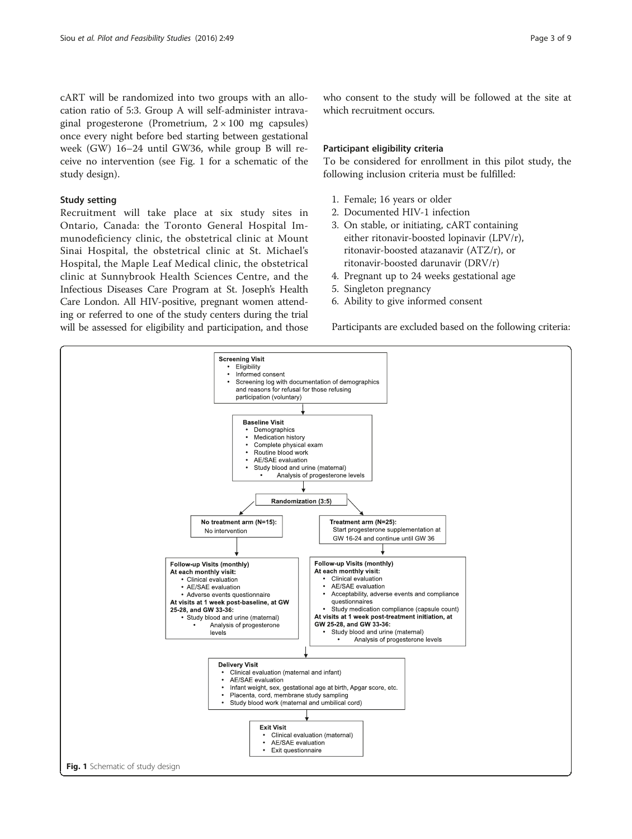cART will be randomized into two groups with an allocation ratio of 5:3. Group A will self-administer intravaginal progesterone (Prometrium,  $2 \times 100$  mg capsules) once every night before bed starting between gestational week (GW) 16–24 until GW36, while group B will receive no intervention (see Fig. 1 for a schematic of the study design).

## Study setting

Recruitment will take place at six study sites in Ontario, Canada: the Toronto General Hospital Immunodeficiency clinic, the obstetrical clinic at Mount Sinai Hospital, the obstetrical clinic at St. Michael's Hospital, the Maple Leaf Medical clinic, the obstetrical clinic at Sunnybrook Health Sciences Centre, and the Infectious Diseases Care Program at St. Joseph's Health Care London. All HIV-positive, pregnant women attending or referred to one of the study centers during the trial will be assessed for eligibility and participation, and those

who consent to the study will be followed at the site at which recruitment occurs.

## Participant eligibility criteria

To be considered for enrollment in this pilot study, the following inclusion criteria must be fulfilled:

- 1. Female; 16 years or older
- 2. Documented HIV-1 infection
- 3. On stable, or initiating, cART containing either ritonavir-boosted lopinavir (LPV/r), ritonavir-boosted atazanavir (ATZ/r), or ritonavir-boosted darunavir (DRV/r)
- 4. Pregnant up to 24 weeks gestational age
- 5. Singleton pregnancy
- 6. Ability to give informed consent

Participants are excluded based on the following criteria:

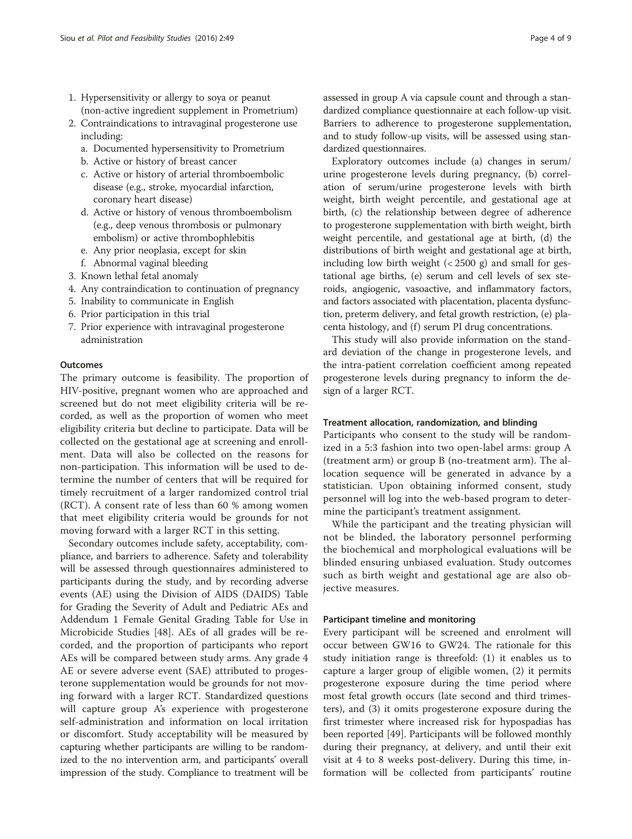- 1. Hypersensitivity or allergy to soya or peanut (non-active ingredient supplement in Prometrium)
- 2. Contraindications to intravaginal progesterone use including:
	- a. Documented hypersensitivity to Prometrium
	- b. Active or history of breast cancer
	- c. Active or history of arterial thromboembolic disease (e.g., stroke, myocardial infarction, coronary heart disease)
	- d. Active or history of venous thromboembolism (e.g., deep venous thrombosis or pulmonary embolism) or active thrombophlebitis
	- e. Any prior neoplasia, except for skin
	- f. Abnormal vaginal bleeding
- 3. Known lethal fetal anomaly
- 4. Any contraindication to continuation of pregnancy
- 5. Inability to communicate in English
- 6. Prior participation in this trial
- 7. Prior experience with intravaginal progesterone administration

## **Outcomes**

The primary outcome is feasibility. The proportion of HIV-positive, pregnant women who are approached and screened but do not meet eligibility criteria will be recorded, as well as the proportion of women who meet eligibility criteria but decline to participate. Data will be collected on the gestational age at screening and enrollment. Data will also be collected on the reasons for non-participation. This information will be used to determine the number of centers that will be required for timely recruitment of a larger randomized control trial (RCT). A consent rate of less than 60 % among women that meet eligibility criteria would be grounds for not moving forward with a larger RCT in this setting.

Secondary outcomes include safety, acceptability, compliance, and barriers to adherence. Safety and tolerability will be assessed through questionnaires administered to participants during the study, and by recording adverse events (AE) using the Division of AIDS (DAIDS) Table for Grading the Severity of Adult and Pediatric AEs and Addendum 1 Female Genital Grading Table for Use in Microbicide Studies [\[48](#page-7-0)]. AEs of all grades will be recorded, and the proportion of participants who report AEs will be compared between study arms. Any grade 4 AE or severe adverse event (SAE) attributed to progesterone supplementation would be grounds for not moving forward with a larger RCT. Standardized questions will capture group A's experience with progesterone self-administration and information on local irritation or discomfort. Study acceptability will be measured by capturing whether participants are willing to be randomized to the no intervention arm, and participants' overall impression of the study. Compliance to treatment will be assessed in group A via capsule count and through a standardized compliance questionnaire at each follow-up visit. Barriers to adherence to progesterone supplementation, and to study follow-up visits, will be assessed using standardized questionnaires.

Exploratory outcomes include (a) changes in serum/ urine progesterone levels during pregnancy, (b) correlation of serum/urine progesterone levels with birth weight, birth weight percentile, and gestational age at birth, (c) the relationship between degree of adherence to progesterone supplementation with birth weight, birth weight percentile, and gestational age at birth, (d) the distributions of birth weight and gestational age at birth, including low birth weight (< 2500 g) and small for gestational age births, (e) serum and cell levels of sex steroids, angiogenic, vasoactive, and inflammatory factors, and factors associated with placentation, placenta dysfunction, preterm delivery, and fetal growth restriction, (e) placenta histology, and (f) serum PI drug concentrations.

This study will also provide information on the standard deviation of the change in progesterone levels, and the intra-patient correlation coefficient among repeated progesterone levels during pregnancy to inform the design of a larger RCT.

## Treatment allocation, randomization, and blinding

Participants who consent to the study will be randomized in a 5:3 fashion into two open-label arms: group A (treatment arm) or group B (no-treatment arm). The allocation sequence will be generated in advance by a statistician. Upon obtaining informed consent, study personnel will log into the web-based program to determine the participant's treatment assignment.

While the participant and the treating physician will not be blinded, the laboratory personnel performing the biochemical and morphological evaluations will be blinded ensuring unbiased evaluation. Study outcomes such as birth weight and gestational age are also objective measures.

#### Participant timeline and monitoring

Every participant will be screened and enrolment will occur between GW16 to GW24. The rationale for this study initiation range is threefold: (1) it enables us to capture a larger group of eligible women, (2) it permits progesterone exposure during the time period where most fetal growth occurs (late second and third trimesters), and (3) it omits progesterone exposure during the first trimester where increased risk for hypospadias has been reported [[49\]](#page-7-0). Participants will be followed monthly during their pregnancy, at delivery, and until their exit visit at 4 to 8 weeks post-delivery. During this time, information will be collected from participants' routine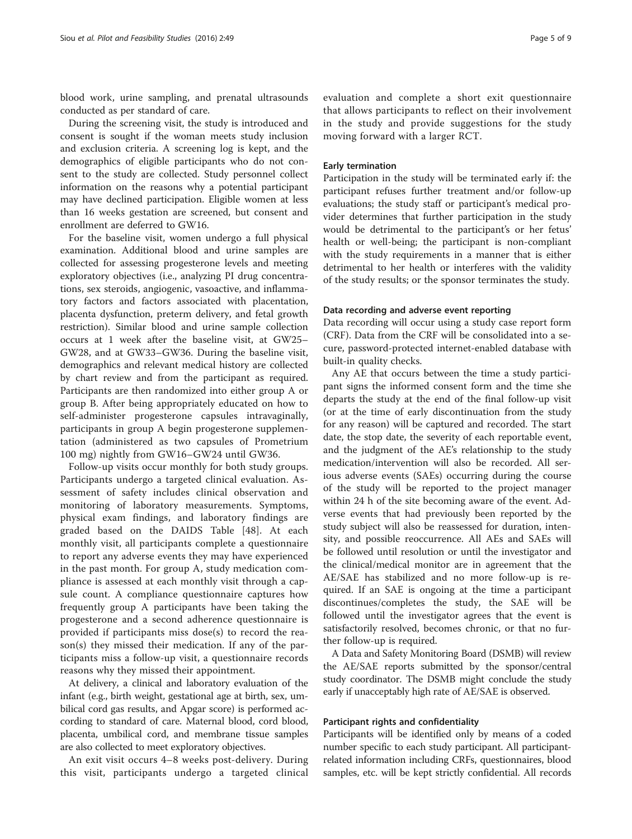blood work, urine sampling, and prenatal ultrasounds conducted as per standard of care.

During the screening visit, the study is introduced and consent is sought if the woman meets study inclusion and exclusion criteria. A screening log is kept, and the demographics of eligible participants who do not consent to the study are collected. Study personnel collect information on the reasons why a potential participant may have declined participation. Eligible women at less than 16 weeks gestation are screened, but consent and enrollment are deferred to GW16.

For the baseline visit, women undergo a full physical examination. Additional blood and urine samples are collected for assessing progesterone levels and meeting exploratory objectives (i.e., analyzing PI drug concentrations, sex steroids, angiogenic, vasoactive, and inflammatory factors and factors associated with placentation, placenta dysfunction, preterm delivery, and fetal growth restriction). Similar blood and urine sample collection occurs at 1 week after the baseline visit, at GW25– GW28, and at GW33–GW36. During the baseline visit, demographics and relevant medical history are collected by chart review and from the participant as required. Participants are then randomized into either group A or group B. After being appropriately educated on how to self-administer progesterone capsules intravaginally, participants in group A begin progesterone supplementation (administered as two capsules of Prometrium 100 mg) nightly from GW16–GW24 until GW36.

Follow-up visits occur monthly for both study groups. Participants undergo a targeted clinical evaluation. Assessment of safety includes clinical observation and monitoring of laboratory measurements. Symptoms, physical exam findings, and laboratory findings are graded based on the DAIDS Table [\[48](#page-7-0)]. At each monthly visit, all participants complete a questionnaire to report any adverse events they may have experienced in the past month. For group A, study medication compliance is assessed at each monthly visit through a capsule count. A compliance questionnaire captures how frequently group A participants have been taking the progesterone and a second adherence questionnaire is provided if participants miss dose(s) to record the reason(s) they missed their medication. If any of the participants miss a follow-up visit, a questionnaire records reasons why they missed their appointment.

At delivery, a clinical and laboratory evaluation of the infant (e.g., birth weight, gestational age at birth, sex, umbilical cord gas results, and Apgar score) is performed according to standard of care. Maternal blood, cord blood, placenta, umbilical cord, and membrane tissue samples are also collected to meet exploratory objectives.

An exit visit occurs 4–8 weeks post-delivery. During this visit, participants undergo a targeted clinical

evaluation and complete a short exit questionnaire that allows participants to reflect on their involvement in the study and provide suggestions for the study moving forward with a larger RCT.

#### Early termination

Participation in the study will be terminated early if: the participant refuses further treatment and/or follow-up evaluations; the study staff or participant's medical provider determines that further participation in the study would be detrimental to the participant's or her fetus' health or well-being; the participant is non-compliant with the study requirements in a manner that is either detrimental to her health or interferes with the validity of the study results; or the sponsor terminates the study.

#### Data recording and adverse event reporting

Data recording will occur using a study case report form (CRF). Data from the CRF will be consolidated into a secure, password-protected internet-enabled database with built-in quality checks.

Any AE that occurs between the time a study participant signs the informed consent form and the time she departs the study at the end of the final follow-up visit (or at the time of early discontinuation from the study for any reason) will be captured and recorded. The start date, the stop date, the severity of each reportable event, and the judgment of the AE's relationship to the study medication/intervention will also be recorded. All serious adverse events (SAEs) occurring during the course of the study will be reported to the project manager within 24 h of the site becoming aware of the event. Adverse events that had previously been reported by the study subject will also be reassessed for duration, intensity, and possible reoccurrence. All AEs and SAEs will be followed until resolution or until the investigator and the clinical/medical monitor are in agreement that the AE/SAE has stabilized and no more follow-up is required. If an SAE is ongoing at the time a participant discontinues/completes the study, the SAE will be followed until the investigator agrees that the event is satisfactorily resolved, becomes chronic, or that no further follow-up is required.

A Data and Safety Monitoring Board (DSMB) will review the AE/SAE reports submitted by the sponsor/central study coordinator. The DSMB might conclude the study early if unacceptably high rate of AE/SAE is observed.

## Participant rights and confidentiality

Participants will be identified only by means of a coded number specific to each study participant. All participantrelated information including CRFs, questionnaires, blood samples, etc. will be kept strictly confidential. All records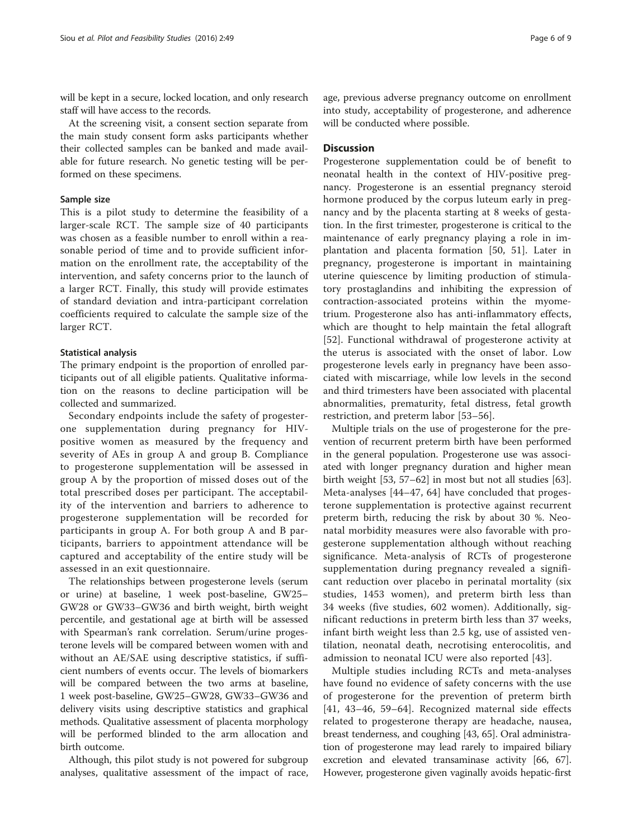will be kept in a secure, locked location, and only research staff will have access to the records.

At the screening visit, a consent section separate from the main study consent form asks participants whether their collected samples can be banked and made available for future research. No genetic testing will be performed on these specimens.

#### Sample size

This is a pilot study to determine the feasibility of a larger-scale RCT. The sample size of 40 participants was chosen as a feasible number to enroll within a reasonable period of time and to provide sufficient information on the enrollment rate, the acceptability of the intervention, and safety concerns prior to the launch of a larger RCT. Finally, this study will provide estimates of standard deviation and intra-participant correlation coefficients required to calculate the sample size of the larger RCT.

#### Statistical analysis

The primary endpoint is the proportion of enrolled participants out of all eligible patients. Qualitative information on the reasons to decline participation will be collected and summarized.

Secondary endpoints include the safety of progesterone supplementation during pregnancy for HIVpositive women as measured by the frequency and severity of AEs in group A and group B. Compliance to progesterone supplementation will be assessed in group A by the proportion of missed doses out of the total prescribed doses per participant. The acceptability of the intervention and barriers to adherence to progesterone supplementation will be recorded for participants in group A. For both group A and B participants, barriers to appointment attendance will be captured and acceptability of the entire study will be assessed in an exit questionnaire.

The relationships between progesterone levels (serum or urine) at baseline, 1 week post-baseline, GW25– GW28 or GW33–GW36 and birth weight, birth weight percentile, and gestational age at birth will be assessed with Spearman's rank correlation. Serum/urine progesterone levels will be compared between women with and without an AE/SAE using descriptive statistics, if sufficient numbers of events occur. The levels of biomarkers will be compared between the two arms at baseline, 1 week post-baseline, GW25–GW28, GW33–GW36 and delivery visits using descriptive statistics and graphical methods. Qualitative assessment of placenta morphology will be performed blinded to the arm allocation and birth outcome.

Although, this pilot study is not powered for subgroup analyses, qualitative assessment of the impact of race,

age, previous adverse pregnancy outcome on enrollment into study, acceptability of progesterone, and adherence will be conducted where possible.

## **Discussion**

Progesterone supplementation could be of benefit to neonatal health in the context of HIV-positive pregnancy. Progesterone is an essential pregnancy steroid hormone produced by the corpus luteum early in pregnancy and by the placenta starting at 8 weeks of gestation. In the first trimester, progesterone is critical to the maintenance of early pregnancy playing a role in implantation and placenta formation [[50](#page-7-0), [51\]](#page-7-0). Later in pregnancy, progesterone is important in maintaining uterine quiescence by limiting production of stimulatory prostaglandins and inhibiting the expression of contraction-associated proteins within the myometrium. Progesterone also has anti-inflammatory effects, which are thought to help maintain the fetal allograft [[52\]](#page-8-0). Functional withdrawal of progesterone activity at the uterus is associated with the onset of labor. Low progesterone levels early in pregnancy have been associated with miscarriage, while low levels in the second and third trimesters have been associated with placental abnormalities, prematurity, fetal distress, fetal growth restriction, and preterm labor [[53](#page-8-0)–[56\]](#page-8-0).

Multiple trials on the use of progesterone for the prevention of recurrent preterm birth have been performed in the general population. Progesterone use was associated with longer pregnancy duration and higher mean birth weight [\[53, 57](#page-8-0)–[62\]](#page-8-0) in most but not all studies [\[63](#page-8-0)]. Meta-analyses [[44](#page-7-0)–[47,](#page-7-0) [64](#page-8-0)] have concluded that progesterone supplementation is protective against recurrent preterm birth, reducing the risk by about 30 %. Neonatal morbidity measures were also favorable with progesterone supplementation although without reaching significance. Meta-analysis of RCTs of progesterone supplementation during pregnancy revealed a significant reduction over placebo in perinatal mortality (six studies, 1453 women), and preterm birth less than 34 weeks (five studies, 602 women). Additionally, significant reductions in preterm birth less than 37 weeks, infant birth weight less than 2.5 kg, use of assisted ventilation, neonatal death, necrotising enterocolitis, and admission to neonatal ICU were also reported [[43\]](#page-7-0).

Multiple studies including RCTs and meta-analyses have found no evidence of safety concerns with the use of progesterone for the prevention of preterm birth [[41](#page-7-0), [43](#page-7-0)–[46](#page-7-0), [59](#page-8-0)–[64\]](#page-8-0). Recognized maternal side effects related to progesterone therapy are headache, nausea, breast tenderness, and coughing [[43](#page-7-0), [65\]](#page-8-0). Oral administration of progesterone may lead rarely to impaired biliary excretion and elevated transaminase activity [[66](#page-8-0), [67](#page-8-0)]. However, progesterone given vaginally avoids hepatic-first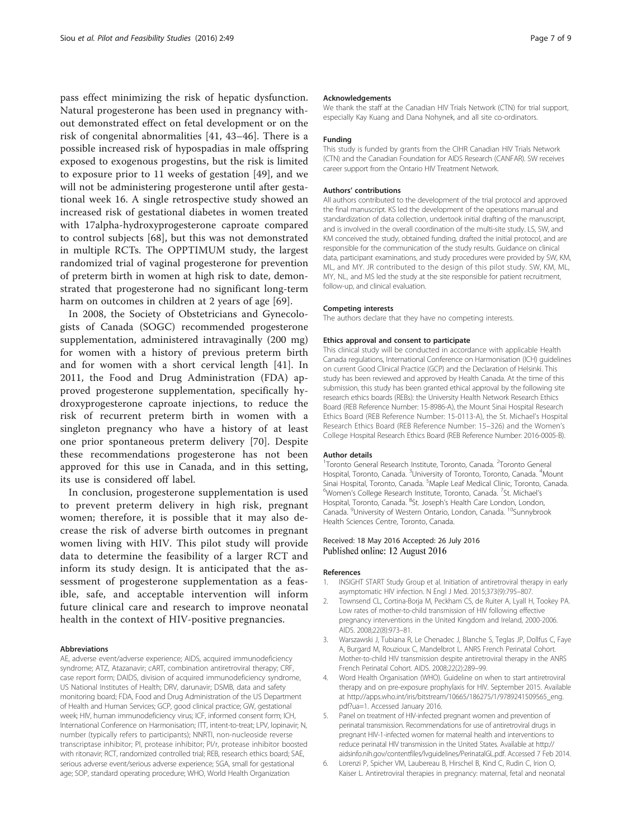<span id="page-6-0"></span>pass effect minimizing the risk of hepatic dysfunction. Natural progesterone has been used in pregnancy without demonstrated effect on fetal development or on the risk of congenital abnormalities [[41](#page-7-0), [43](#page-7-0)–[46\]](#page-7-0). There is a possible increased risk of hypospadias in male offspring exposed to exogenous progestins, but the risk is limited to exposure prior to 11 weeks of gestation [[49\]](#page-7-0), and we will not be administering progesterone until after gestational week 16. A single retrospective study showed an increased risk of gestational diabetes in women treated with 17alpha-hydroxyprogesterone caproate compared to control subjects [\[68](#page-8-0)], but this was not demonstrated in multiple RCTs. The OPPTIMUM study, the largest randomized trial of vaginal progesterone for prevention of preterm birth in women at high risk to date, demonstrated that progesterone had no significant long-term harm on outcomes in children at 2 years of age [\[69](#page-8-0)].

In 2008, the Society of Obstetricians and Gynecologists of Canada (SOGC) recommended progesterone supplementation, administered intravaginally (200 mg) for women with a history of previous preterm birth and for women with a short cervical length [[41](#page-7-0)]. In 2011, the Food and Drug Administration (FDA) approved progesterone supplementation, specifically hydroxyprogesterone caproate injections, to reduce the risk of recurrent preterm birth in women with a singleton pregnancy who have a history of at least one prior spontaneous preterm delivery [[70\]](#page-8-0). Despite these recommendations progesterone has not been approved for this use in Canada, and in this setting, its use is considered off label.

In conclusion, progesterone supplementation is used to prevent preterm delivery in high risk, pregnant women; therefore, it is possible that it may also decrease the risk of adverse birth outcomes in pregnant women living with HIV. This pilot study will provide data to determine the feasibility of a larger RCT and inform its study design. It is anticipated that the assessment of progesterone supplementation as a feasible, safe, and acceptable intervention will inform future clinical care and research to improve neonatal health in the context of HIV-positive pregnancies.

#### Abbreviations

AE, adverse event/adverse experience; AIDS, acquired immunodeficiency syndrome; ATZ, Atazanavir; cART, combination antiretroviral therapy; CRF, case report form; DAIDS, division of acquired immunodeficiency syndrome, US National Institutes of Health; DRV, darunavir; DSMB, data and safety monitoring board; FDA, Food and Drug Administration of the US Department of Health and Human Services; GCP, good clinical practice; GW, gestational week; HIV, human immunodeficiency virus; ICF, informed consent form; ICH, International Conference on Harmonisation; ITT, intent-to-treat; LPV, lopinavir; N, number (typically refers to participants); NNRTI, non-nucleoside reverse transcriptase inhibitor; PI, protease inhibitor; PI/r, protease inhibitor boosted with ritonavir; RCT, randomized controlled trial; REB, research ethics board; SAE, serious adverse event/serious adverse experience; SGA, small for gestational age; SOP, standard operating procedure; WHO, World Health Organization

#### Acknowledgements

We thank the staff at the Canadian HIV Trials Network (CTN) for trial support, especially Kay Kuang and Dana Nohynek, and all site co-ordinators.

#### Funding

This study is funded by grants from the CIHR Canadian HIV Trials Network (CTN) and the Canadian Foundation for AIDS Research (CANFAR). SW receives career support from the Ontario HIV Treatment Network.

#### Authors' contributions

All authors contributed to the development of the trial protocol and approved the final manuscript. KS led the development of the operations manual and standardization of data collection, undertook initial drafting of the manuscript, and is involved in the overall coordination of the multi-site study. LS, SW, and KM conceived the study, obtained funding, drafted the initial protocol, and are responsible for the communication of the study results. Guidance on clinical data, participant examinations, and study procedures were provided by SW, KM, ML, and MY. JR contributed to the design of this pilot study. SW, KM, ML, MY, NL, and MS led the study at the site responsible for patient recruitment, follow-up, and clinical evaluation.

#### Competing interests

The authors declare that they have no competing interests.

#### Ethics approval and consent to participate

This clinical study will be conducted in accordance with applicable Health Canada regulations, International Conference on Harmonisation (ICH) guidelines on current Good Clinical Practice (GCP) and the Declaration of Helsinki. This study has been reviewed and approved by Health Canada. At the time of this submission, this study has been granted ethical approval by the following site research ethics boards (REBs): the University Health Network Research Ethics Board (REB Reference Number: 15-8986-A), the Mount Sinai Hospital Research Ethics Board (REB Reference Number: 15-0113-A), the St. Michael's Hospital Research Ethics Board (REB Reference Number: 15–326) and the Women's College Hospital Research Ethics Board (REB Reference Number: 2016-0005-B).

#### Author details

<sup>1</sup>Toronto General Research Institute, Toronto, Canada. <sup>2</sup>Toronto General Hospital, Toronto, Canada. <sup>3</sup>University of Toronto, Toronto, Canada. <sup>4</sup>Mount Sinai Hospital, Toronto, Canada. <sup>5</sup>Maple Leaf Medical Clinic, Toronto, Canada.<br><sup>6</sup>Memon's Colloge Pesoarch Institute. Terento, Canada. <sup>7</sup>St. Michael's Women's College Research Institute, Toronto, Canada. <sup>7</sup>St. Michael's Hospital, Toronto, Canada. <sup>8</sup>St. Joseph's Health Care London, London, Canada. <sup>9</sup>University of Western Ontario, London, Canada. <sup>10</sup>Sunnybrook Health Sciences Centre, Toronto, Canada.

#### Received: 18 May 2016 Accepted: 26 July 2016 Published online: 12 August 2016

#### References

- 1. INSIGHT START Study Group et al. Initiation of antiretroviral therapy in early asymptomatic HIV infection. N Engl J Med. 2015;373(9):795–807.
- 2. Townsend CL, Cortina-Borja M, Peckham CS, de Ruiter A, Lyall H, Tookey PA. Low rates of mother-to-child transmission of HIV following effective pregnancy interventions in the United Kingdom and Ireland, 2000-2006. AIDS. 2008;22(8):973–81.
- 3. Warszawski J, Tubiana R, Le Chenadec J, Blanche S, Teglas JP, Dollfus C, Faye A, Burgard M, Rouzioux C, Mandelbrot L. ANRS French Perinatal Cohort. Mother-to-child HIV transmission despite antiretroviral therapy in the ANRS French Perinatal Cohort. AIDS. 2008;22(2):289–99.
- 4. Word Health Organisation (WHO). Guideline on when to start antiretroviral therapy and on pre-exposure prophylaxis for HIV. September 2015. Available at [http://apps.who.int/iris/bitstream/10665/186275/1/9789241509565\\_eng.](http://apps.who.int/iris/bitstream/10665/186275/1/9789241509565_eng.pdf?ua=1) [pdf?ua=1.](http://apps.who.int/iris/bitstream/10665/186275/1/9789241509565_eng.pdf?ua=1) Accessed January 2016.
- 5. Panel on treatment of HIV-infected pregnant women and prevention of perinatal transmission. Recommendations for use of antiretroviral drugs in pregnant HIV-1-infected women for maternal health and interventions to reduce perinatal HIV transmission in the United States. Available at [http://](http://aidsinfo.nih.gov/contentfiles/lvguidelines/PerinatalGL.pdf) [aidsinfo.nih.gov/contentfiles/lvguidelines/PerinatalGL.pdf.](http://aidsinfo.nih.gov/contentfiles/lvguidelines/PerinatalGL.pdf) Accessed 7 Feb 2014.
- 6. Lorenzi P, Spicher VM, Laubereau B, Hirschel B, Kind C, Rudin C, Irion O, Kaiser L. Antiretroviral therapies in pregnancy: maternal, fetal and neonatal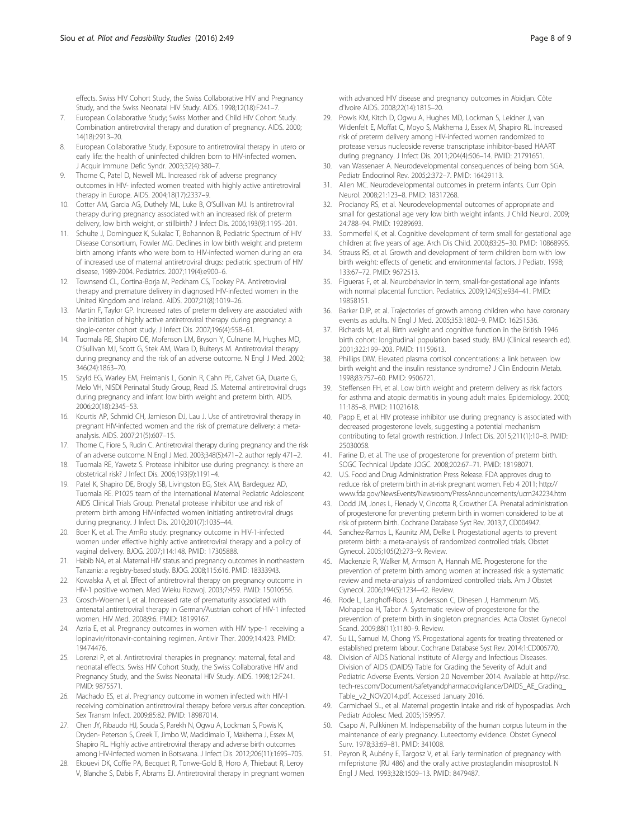<span id="page-7-0"></span>effects. Swiss HIV Cohort Study, the Swiss Collaborative HIV and Pregnancy Study, and the Swiss Neonatal HIV Study. AIDS. 1998;12(18):F241–7.

- 7. European Collaborative Study; Swiss Mother and Child HIV Cohort Study. Combination antiretroviral therapy and duration of pregnancy. AIDS. 2000; 14(18):2913–20.
- 8. European Collaborative Study. Exposure to antiretroviral therapy in utero or early life: the health of uninfected children born to HIV-infected women. J Acquir Immune Defic Syndr. 2003;32(4):380–7.
- 9. Thorne C, Patel D, Newell ML. Increased risk of adverse pregnancy outcomes in HIV- infected women treated with highly active antiretroviral therapy in Europe. AIDS. 2004;18(17):2337–9.
- 10. Cotter AM, Garcia AG, Duthely ML, Luke B, O'Sullivan MJ. Is antiretroviral therapy during pregnancy associated with an increased risk of preterm delivery, low birth weight, or stillbirth? J Infect Dis. 2006;193(9):1195–201.
- 11. Schulte J, Dominguez K, Sukalac T, Bohannon B, Pediatric Spectrum of HIV Disease Consortium, Fowler MG. Declines in low birth weight and preterm birth among infants who were born to HIV-infected women during an era of increased use of maternal antiretroviral drugs: pediatric spectrum of HIV disease, 1989-2004. Pediatrics. 2007;119(4):e900–6.
- 12. Townsend CL, Cortina-Borja M, Peckham CS, Tookey PA. Antiretroviral therapy and premature delivery in diagnosed HIV-infected women in the United Kingdom and Ireland. AIDS. 2007;21(8):1019–26.
- 13. Martin F, Taylor GP. Increased rates of preterm delivery are associated with the initiation of highly active antiretroviral therapy during pregnancy: a single-center cohort study. J Infect Dis. 2007;196(4):558–61.
- 14. Tuomala RE, Shapiro DE, Mofenson LM, Bryson Y, Culnane M, Hughes MD, O'Sullivan MJ, Scott G, Stek AM, Wara D, Bulterys M. Antiretroviral therapy during pregnancy and the risk of an adverse outcome. N Engl J Med. 2002; 346(24):1863–70.
- 15. Szyld EG, Warley EM, Freimanis L, Gonin R, Cahn PE, Calvet GA, Duarte G, Melo VH, NISDI Perinatal Study Group, Read JS. Maternal antiretroviral drugs during pregnancy and infant low birth weight and preterm birth. AIDS. 2006;20(18):2345–53.
- 16. Kourtis AP, Schmid CH, Jamieson DJ, Lau J. Use of antiretroviral therapy in pregnant HIV-infected women and the risk of premature delivery: a metaanalysis. AIDS. 2007;21(5):607–15.
- 17. Thorne C, Fiore S, Rudin C. Antiretroviral therapy during pregnancy and the risk of an adverse outcome. N Engl J Med. 2003;348(5):471–2. author reply 471–2.
- 18. Tuomala RE, Yawetz S. Protease inhibitor use during pregnancy: is there an obstetrical risk? J Infect Dis. 2006;193(9):1191–4.
- 19. Patel K, Shapiro DE, Brogly SB, Livingston EG, Stek AM, Bardeguez AD, Tuomala RE. P1025 team of the International Maternal Pediatric Adolescent AIDS Clinical Trials Group. Prenatal protease inhibitor use and risk of preterm birth among HIV-infected women initiating antiretroviral drugs during pregnancy. J Infect Dis. 2010;201(7):1035–44.
- 20. Boer K, et al. The AmRo study: pregnancy outcome in HIV-1-infected women under effective highly active antiretroviral therapy and a policy of vaginal delivery. BJOG. 2007;114:148. PMID: 17305888.
- 21. Habib NA, et al. Maternal HIV status and pregnancy outcomes in northeastern Tanzania: a registry-based study. BJOG. 2008;115:616. PMID: 18333943.
- 22. Kowalska A, et al. Effect of antiretroviral therapy on pregnancy outcome in HIV-1 positive women. Med Wieku Rozwoj. 2003;7:459. PMID: 15010556.
- 23. Grosch-Woerner I, et al. Increased rate of prematurity associated with antenatal antiretroviral therapy in German/Austrian cohort of HIV-1 infected women. HIV Med. 2008;9:6. PMID: 18199167.
- 24. Azria E, et al. Pregnancy outcomes in women with HIV type-1 receiving a lopinavir/ritonavir-containing regimen. Antivir Ther. 2009;14:423. PMID: 19474476.
- 25. Lorenzi P, et al. Antiretroviral therapies in pregnancy: maternal, fetal and neonatal effects. Swiss HIV Cohort Study, the Swiss Collaborative HIV and Pregnancy Study, and the Swiss Neonatal HIV Study. AIDS. 1998;12:F241. PMID: 9875571.
- 26. Machado ES, et al. Pregnancy outcome in women infected with HIV-1 receiving combination antiretroviral therapy before versus after conception. Sex Transm Infect. 2009;85:82. PMID: 18987014.
- 27. Chen JY, Ribaudo HJ, Souda S, Parekh N, Ogwu A, Lockman S, Powis K, Dryden- Peterson S, Creek T, Jimbo W, Madidimalo T, Makhema J, Essex M, Shapiro RL. Highly active antiretroviral therapy and adverse birth outcomes among HIV-infected women in Botswana. J Infect Dis. 2012;206(11):1695–705.
- 28. Ekouevi DK, Coffie PA, Becquet R, Tonwe-Gold B, Horo A, Thiebaut R, Leroy V, Blanche S, Dabis F, Abrams EJ. Antiretroviral therapy in pregnant women

with advanced HIV disease and pregnancy outcomes in Abidjan. Côte d'Ivoire AIDS. 2008;22(14):1815–20.

- 29. Powis KM, Kitch D, Ogwu A, Hughes MD, Lockman S, Leidner J, van Widenfelt E, Moffat C, Moyo S, Makhema J, Essex M, Shapiro RL. Increased risk of preterm delivery among HIV-infected women randomized to protease versus nucleoside reverse transcriptase inhibitor-based HAART during pregnancy. J Infect Dis. 2011;204(4):506–14. PMID: 21791651.
- 30. van Wassenaer A. Neurodevelopmental consequences of being born SGA. Pediatr Endocrinol Rev. 2005;2:372–7. PMID: 16429113.
- 31. Allen MC. Neurodevelopmental outcomes in preterm infants. Curr Opin Neurol. 2008;21:123–8. PMID: 18317268.
- 32. Procianoy RS, et al. Neurodevelopmental outcomes of appropriate and small for gestational age very low birth weight infants. J Child Neurol. 2009; 24:788–94. PMID: 19289693.
- 33. Sommerfel K, et al. Cognitive development of term small for gestational age children at five years of age. Arch Dis Child. 2000;83:25–30. PMID: 10868995.
- 34. Strauss RS, et al. Growth and development of term children born with low birth weight: effects of genetic and environmental factors. J Pediatr. 1998; 133:67–72. PMID: 9672513.
- 35. Figueras F, et al. Neurobehavior in term, small-for-gestational age infants with normal placental function. Pediatrics. 2009;124(5):e934–41. PMID: 19858151.
- 36. Barker DJP, et al. Trajectories of growth among children who have coronary events as adults. N Engl J Med. 2005;353:1802–9. PMID: 16251536.
- 37. Richards M, et al. Birth weight and cognitive function in the British 1946 birth cohort: longitudinal population based study. BMJ (Clinical research ed). 2001;322:199–203. PMID: 11159613.
- 38. Phillips DIW. Elevated plasma cortisol concentrations: a link between low birth weight and the insulin resistance syndrome? J Clin Endocrin Metab. 1998;83:757–60. PMID: 9506721.
- 39. Steffensen FH, et al. Low birth weight and preterm delivery as risk factors for asthma and atopic dermatitis in young adult males. Epidemiology. 2000; 11:185–8. PMID: 11021618.
- 40. Papp E, et al. HIV protease inhibitor use during pregnancy is associated with decreased progesterone levels, suggesting a potential mechanism contributing to fetal growth restriction. J Infect Dis. 2015;211(1):10–8. PMID: 25030058.
- 41. Farine D, et al. The use of progesterone for prevention of preterm birth. SOGC Technical Update JOGC. 2008;202:67–71. PMID: 18198071.
- 42. U.S. Food and Drug Administration Press Release. FDA approves drug to reduce risk of preterm birth in at-risk pregnant women. Feb 4 2011; [http://](http://www.fda.gov/NewsEvents/Newsroom/PressAnnouncements/ucm242234.htm) [www.fda.gov/NewsEvents/Newsroom/PressAnnouncements/ucm242234.htm](http://www.fda.gov/NewsEvents/Newsroom/PressAnnouncements/ucm242234.htm)
- 43. Dodd JM, Jones L, Flenady V, Cincotta R, Crowther CA. Prenatal administration of progesterone for preventing preterm birth in women considered to be at risk of preterm birth. Cochrane Database Syst Rev. 2013;7, CD004947.
- 44. Sanchez-Ramos L, Kaunitz AM, Delke I. Progestational agents to prevent preterm birth: a meta-analysis of randomized controlled trials. Obstet Gynecol. 2005;105(2):273–9. Review.
- 45. Mackenzie R, Walker M, Armson A, Hannah ME. Progesterone for the prevention of preterm birth among women at increased risk: a systematic review and meta-analysis of randomized controlled trials. Am J Obstet Gynecol. 2006;194(5):1234–42. Review.
- 46. Rode L, Langhoff-Roos J, Andersson C, Dinesen J, Hammerum MS, Mohapeloa H, Tabor A. Systematic review of progesterone for the prevention of preterm birth in singleton pregnancies. Acta Obstet Gynecol Scand. 2009;88(11):1180–9. Review.
- 47. Su LL, Samuel M, Chong YS. Progestational agents for treating threatened or established preterm labour. Cochrane Database Syst Rev. 2014;1:CD006770.
- 48. Division of AIDS National Institute of Allergy and Infectious Diseases. Division of AIDS (DAIDS) Table for Grading the Severity of Adult and Pediatric Adverse Events. Version 2.0 November 2014. Available at [http://rsc.](http://rsc.tech-res.com/Document/safetyandpharmacovigilance/DAIDS_AE_Grading_Table_v2_NOV2014.pdf) [tech-res.com/Document/safetyandpharmacovigilance/DAIDS\\_AE\\_Grading\\_](http://rsc.tech-res.com/Document/safetyandpharmacovigilance/DAIDS_AE_Grading_Table_v2_NOV2014.pdf) [Table\\_v2\\_NOV2014.pdf.](http://rsc.tech-res.com/Document/safetyandpharmacovigilance/DAIDS_AE_Grading_Table_v2_NOV2014.pdf) Accessed January 2016.
- 49. Carmichael SL, et al. Maternal progestin intake and risk of hypospadias. Arch Pediatr Adolesc Med. 2005;159:957.
- 50. Csapo AI, Pulkkinen M. Indispensability of the human corpus luteum in the maintenance of early pregnancy. Luteectomy evidence. Obstet Gynecol Surv. 1978;33:69–81. PMID: 341008.
- 51. Peyron R, Aubény E, Targosz V, et al. Early termination of pregnancy with mifepristone (RU 486) and the orally active prostaglandin misoprostol. N Engl J Med. 1993;328:1509–13. PMID: 8479487.